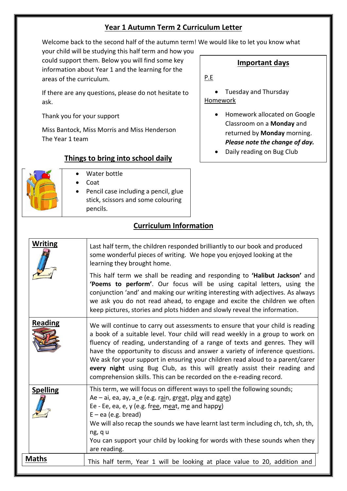## **Year 1 Autumn Term 2 Curriculum Letter**

Welcome back to the second half of the autumn term! We would like to let you know what

your child will be studying this half term and how you could support them. Below you will find some key information about Year 1 and the learning for the areas of the curriculum.

If there are any questions, please do not hesitate to ask.

Thank you for your support

Miss Bantock, Miss Morris and Miss Henderson The Year 1 team

## **Things to bring into school daily**



- Water bottle
- Coat
- Pencil case including a pencil, glue stick, scissors and some colouring pencils.

## **Important days**

P.E

- Tuesday and Thursday Homework
	- Homework allocated on Google Classroom on a **Monday** and returned by **Monday** morning. *Please note the change of day.*
	- Daily reading on Bug Club

## **Curriculum Information**

| <b>Writing</b>  | Last half term, the children responded brilliantly to our book and produced<br>some wonderful pieces of writing. We hope you enjoyed looking at the<br>learning they brought home.                                                                                                                                                                                                                                                                                                                                                                                   |
|-----------------|----------------------------------------------------------------------------------------------------------------------------------------------------------------------------------------------------------------------------------------------------------------------------------------------------------------------------------------------------------------------------------------------------------------------------------------------------------------------------------------------------------------------------------------------------------------------|
|                 | This half term we shall be reading and responding to 'Halibut Jackson' and<br>'Poems to perform'. Our focus will be using capital letters, using the<br>conjunction 'and' and making our writing interesting with adjectives. As always<br>we ask you do not read ahead, to engage and excite the children we often<br>keep pictures, stories and plots hidden and slowly reveal the information.                                                                                                                                                                    |
| <b>Reading</b>  | We will continue to carry out assessments to ensure that your child is reading<br>a book of a suitable level. Your child will read weekly in a group to work on<br>fluency of reading, understanding of a range of texts and genres. They will<br>have the opportunity to discuss and answer a variety of inference questions.<br>We ask for your support in ensuring your children read aloud to a parent/carer<br>every night using Bug Club, as this will greatly assist their reading and<br>comprehension skills. This can be recorded on the e-reading record. |
| <b>Spelling</b> | This term, we will focus on different ways to spell the following sounds;<br>Ae $-$ ai, ea, ay, a_e (e.g. rain, great, play and gate)<br>Ee - Ee, ea, e, y (e.g. free, meat, me and happy)<br>$E - ea$ (e.g. bread)<br>We will also recap the sounds we have learnt last term including ch, tch, sh, th,<br>ng, q u<br>You can support your child by looking for words with these sounds when they<br>are reading.                                                                                                                                                   |
| Maths           | This half term, Year 1 will be looking at place value to 20, addition and                                                                                                                                                                                                                                                                                                                                                                                                                                                                                            |
|                 |                                                                                                                                                                                                                                                                                                                                                                                                                                                                                                                                                                      |